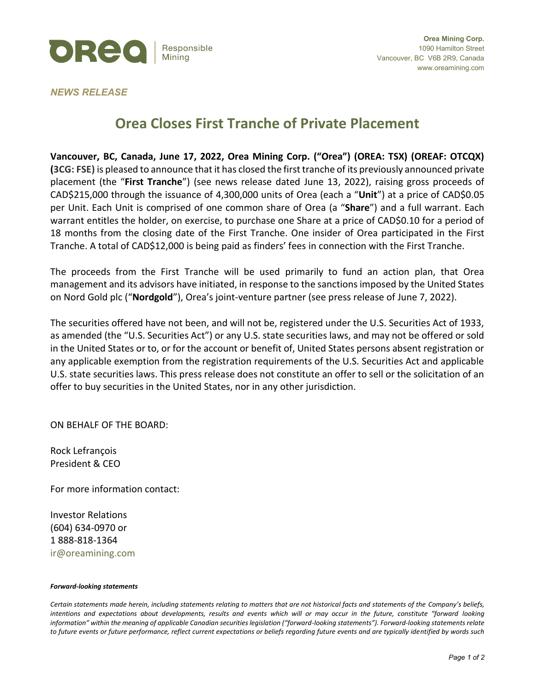

## *NEWS RELEASE*

## **Orea Closes First Tranche of Private Placement**

**Vancouver, BC, Canada, June 17, 2022, Orea Mining Corp. ("Orea") (OREA: TSX) (OREAF: OTCQX) (3CG: FSE)** is pleased to announce that it has closed the first tranche of its previously announced private placement (the "**First Tranche**") (see news release dated June 13, 2022), raising gross proceeds of CAD\$215,000 through the issuance of 4,300,000 units of Orea (each a "**Unit**") at a price of CAD\$0.05 per Unit. Each Unit is comprised of one common share of Orea (a "**Share**") and a full warrant. Each warrant entitles the holder, on exercise, to purchase one Share at a price of CAD\$0.10 for a period of 18 months from the closing date of the First Tranche. One insider of Orea participated in the First Tranche. A total of CAD\$12,000 is being paid as finders' fees in connection with the First Tranche.

The proceeds from the First Tranche will be used primarily to fund an action plan, that Orea management and its advisors have initiated, in response to the sanctions imposed by the United States on Nord Gold plc ("**Nordgold**"), Orea's joint-venture partner (see press release of June 7, 2022).

The securities offered have not been, and will not be, registered under the U.S. Securities Act of 1933, as amended (the "U.S. Securities Act") or any U.S. state securities laws, and may not be offered or sold in the United States or to, or for the account or benefit of, United States persons absent registration or any applicable exemption from the registration requirements of the U.S. Securities Act and applicable U.S. state securities laws. This press release does not constitute an offer to sell or the solicitation of an offer to buy securities in the United States, nor in any other jurisdiction.

ON BEHALF OF THE BOARD:

Rock Lefrançois President & CEO

For more information contact:

Investor Relations (604) 634-0970 or 1 888-818-1364 ir@oreamining.com

## *Forward-looking statements*

*Certain statements made herein, including statements relating to matters that are not historical facts and statements of the Company's beliefs, intentions and expectations about developments, results and events which will or may occur in the future, constitute "forward looking information" within the meaning of applicable Canadian securities legislation ("forward-looking statements"). Forward-looking statements relate to future events or future performance, reflect current expectations or beliefs regarding future events and are typically identified by words such*